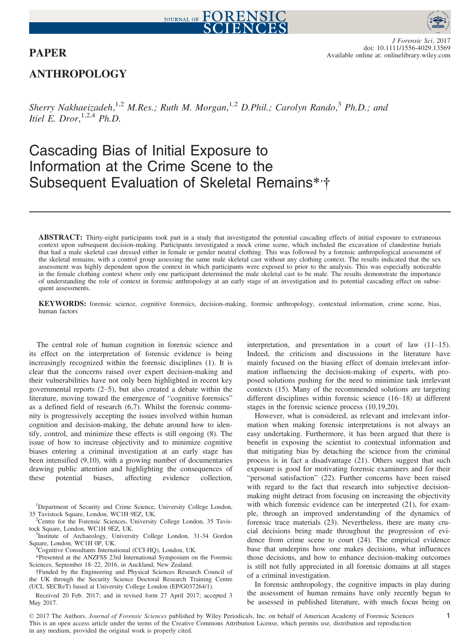



PAPER

#### J Forensic Sci, 2017 doi: 10.1111/1556-4029.13569 Available online at: onlinelibrary.wiley.com

# ANTHROPOLOGY

Sherry Nakhaeizadeh,<sup>1,2</sup> M.Res.; Ruth M. Morgan,<sup>1,2</sup> D.Phil.; Carolyn Rando,<sup>3</sup> Ph.D.; and Itiel E. Dror,  $^{1,2,4}$  Ph.D.

# Cascading Bias of Initial Exposure to Information at the Crime Scene to the Subsequent Evaluation of Skeletal Remains\*<sup>\*</sup>

ABSTRACT: Thirty-eight participants took part in a study that investigated the potential cascading effects of initial exposure to extraneous context upon subsequent decision-making. Participants investigated a mock crime scene, which included the excavation of clandestine burials that had a male skeletal cast dressed either in female or gender neutral clothing. This was followed by a forensic anthropological assessment of the skeletal remains, with a control group assessing the same male skeletal cast without any clothing context. The results indicated that the sex assessment was highly dependent upon the context in which participants were exposed to prior to the analysis. This was especially noticeable in the female clothing context where only one participant determined the male skeletal cast to be male. The results demonstrate the importance of understanding the role of context in forensic anthropology at an early stage of an investigation and its potential cascading effect on subsequent assessments.

KEYWORDS: forensic science, cognitive forensics, decision-making, forensic anthropology, contextual information, crime scene, bias, human factors

The central role of human cognition in forensic science and its effect on the interpretation of forensic evidence is being increasingly recognized within the forensic disciplines (1). It is clear that the concerns raised over expert decision-making and their vulnerabilities have not only been highlighted in recent key governmental reports (2–5), but also created a debate within the literature, moving toward the emergence of "cognitive forensics" as a defined field of research (6,7). Whilst the forensic community is progressively accepting the issues involved within human cognition and decision-making, the debate around how to identify, control, and minimize these effects is still ongoing (8). The issue of how to increase objectivity and to minimize cognitive biases entering a criminal investigation at an early stage has been intensified (9,10), with a growing number of documentaries drawing public attention and highlighting the consequences of these potential biases, affecting evidence collection,

- <sup>1</sup>Department of Security and Crime Science, University College London, 35 Tavistock Square, London, WC1H 9EZ, UK. <sup>2</sup>
- <sup>2</sup>Centre for the Forensic Sciences, University College London, 35 Tavistock Square, London, WC1H 9EZ, UK.
- <sup>3</sup>Institute of Archaeology, University College London, 31-34 Gordon Square, London, WC1H 0P, UK. <sup>4</sup>

interpretation, and presentation in a court of law (11–15). Indeed, the criticism and discussions in the literature have mainly focused on the biasing effect of domain irrelevant information influencing the decision-making of experts, with proposed solutions pushing for the need to minimize task irrelevant contexts (15). Many of the recommended solutions are targeting different disciplines within forensic science (16–18) at different stages in the forensic science process (10,19,20).

However, what is considered, as relevant and irrelevant information when making forensic interpretations is not always an easy undertaking. Furthermore, it has been argued that there is benefit in exposing the scientist to contextual information and that mitigating bias by detaching the science from the criminal process is in fact a disadvantage (21). Others suggest that such exposure is good for motivating forensic examiners and for their "personal satisfaction" (22). Further concerns have been raised with regard to the fact that research into subjective decisionmaking might detract from focusing on increasing the objectivity with which forensic evidence can be interpreted (21), for example, through an improved understanding of the dynamics of forensic trace materials (23). Nevertheless, there are many crucial decisions being made throughout the progression of evidence from crime scene to court (24). The empirical evidence base that underpins how one makes decisions, what influences those decisions, and how to enhance decision-making outcomes is still not fully appreciated in all forensic domains at all stages of a criminal investigation.

In forensic anthropology, the cognitive impacts in play during the assessment of human remains have only recently begun to be assessed in published literature, with much focus being on

© 2017 The Authors. Journal of Forensic Sciences published by Wiley Periodicals, Inc. on behalf of American Academy of Forensic Sciences 1 This is an open access article under the terms of the [Creative Commons Attribution](http://creativecommons.org/licenses/by/4.0/) License, which permits use, distribution and reproduction in any medium, provided the original work is properly cited.

<sup>&</sup>lt;sup>4</sup>Cognitive Consultants International (CCI-HQ), London, UK.

<sup>\*</sup>Presented at the ANZFSS 23rd International Symposium on the Forensic Sciences, September 18–22, 2016, in Auckland, New Zealand.

<sup>†</sup>Funded by the Engineering and Physical Sciences Research Council of the UK through the Security Science Doctoral Research Training Centre (UCL SECReT) based at University College London (EP/G037264/1).

Received 20 Feb. 2017; and in revised form 27 April 2017; accepted 3 May 2017.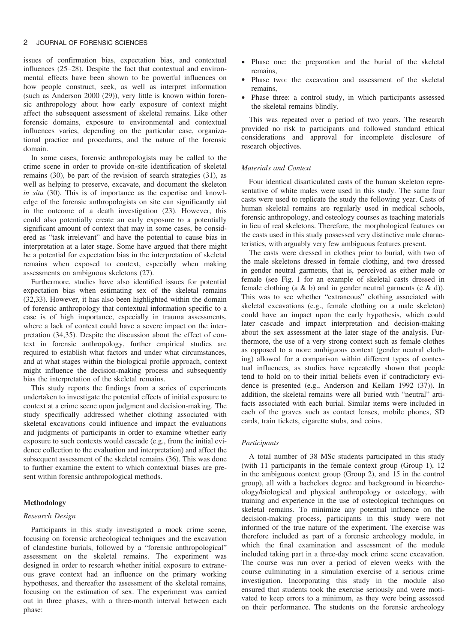#### 2 JOURNAL OF FORENSIC SCIENCES

issues of confirmation bias, expectation bias, and contextual influences (25–28). Despite the fact that contextual and environmental effects have been shown to be powerful influences on how people construct, seek, as well as interpret information (such as Anderson 2000 (29)), very little is known within forensic anthropology about how early exposure of context might affect the subsequent assessment of skeletal remains. Like other forensic domains, exposure to environmental and contextual influences varies, depending on the particular case, organizational practice and procedures, and the nature of the forensic domain.

In some cases, forensic anthropologists may be called to the crime scene in order to provide on-site identification of skeletal remains (30), be part of the revision of search strategies (31), as well as helping to preserve, excavate, and document the skeleton in situ (30). This is of importance as the expertise and knowledge of the forensic anthropologists on site can significantly aid in the outcome of a death investigation (23). However, this could also potentially create an early exposure to a potentially significant amount of context that may in some cases, be considered as "task irrelevant" and have the potential to cause bias in interpretation at a later stage. Some have argued that there might be a potential for expectation bias in the interpretation of skeletal remains when exposed to context, especially when making assessments on ambiguous skeletons (27).

Furthermore, studies have also identified issues for potential expectation bias when estimating sex of the skeletal remains (32,33). However, it has also been highlighted within the domain of forensic anthropology that contextual information specific to a case is of high importance, especially in trauma assessments, where a lack of context could have a severe impact on the interpretation (34,35). Despite the discussion about the effect of context in forensic anthropology, further empirical studies are required to establish what factors and under what circumstances, and at what stages within the biological profile approach, context might influence the decision-making process and subsequently bias the interpretation of the skeletal remains.

This study reports the findings from a series of experiments undertaken to investigate the potential effects of initial exposure to context at a crime scene upon judgment and decision-making. The study specifically addressed whether clothing associated with skeletal excavations could influence and impact the evaluations and judgments of participants in order to examine whether early exposure to such contexts would cascade (e.g., from the initial evidence collection to the evaluation and interpretation) and affect the subsequent assessment of the skeletal remains (36). This was done to further examine the extent to which contextual biases are present within forensic anthropological methods.

# Methodology

# Research Design

Participants in this study investigated a mock crime scene, focusing on forensic archeological techniques and the excavation of clandestine burials, followed by a "forensic anthropological" assessment on the skeletal remains. The experiment was designed in order to research whether initial exposure to extraneous grave context had an influence on the primary working hypotheses, and thereafter the assessment of the skeletal remains, focusing on the estimation of sex. The experiment was carried out in three phases, with a three-month interval between each phase:

- Phase one: the preparation and the burial of the skeletal remains,
- Phase two: the excavation and assessment of the skeletal remains,
- Phase three: a control study, in which participants assessed the skeletal remains blindly.

This was repeated over a period of two years. The research provided no risk to participants and followed standard ethical considerations and approval for incomplete disclosure of research objectives.

# Materials and Context

Four identical disarticulated casts of the human skeleton representative of white males were used in this study. The same four casts were used to replicate the study the following year. Casts of human skeletal remains are regularly used in medical schools, forensic anthropology, and osteology courses as teaching materials in lieu of real skeletons. Therefore, the morphological features on the casts used in this study possessed very distinctive male characteristics, with arguably very few ambiguous features present.

The casts were dressed in clothes prior to burial, with two of the male skeletons dressed in female clothing, and two dressed in gender neutral garments, that is, perceived as either male or female (see Fig. 1 for an example of skeletal casts dressed in female clothing  $(a \& b)$  and in gender neutral garments  $(c \& d)$ ). This was to see whether "extraneous" clothing associated with skeletal excavations (e.g., female clothing on a male skeleton) could have an impact upon the early hypothesis, which could later cascade and impact interpretation and decision-making about the sex assessment at the later stage of the analysis. Furthermore, the use of a very strong context such as female clothes as opposed to a more ambiguous context (gender neutral clothing) allowed for a comparison within different types of contextual influences, as studies have repeatedly shown that people tend to hold on to their initial beliefs even if contradictory evidence is presented (e.g., Anderson and Kellam 1992 (37)). In addition, the skeletal remains were all buried with "neutral" artifacts associated with each burial. Similar items were included in each of the graves such as contact lenses, mobile phones, SD cards, train tickets, cigarette stubs, and coins.

#### **Participants**

A total number of 38 MSc students participated in this study (with 11 participants in the female context group (Group 1), 12 in the ambiguous context group (Group 2), and 15 in the control group), all with a bachelors degree and background in bioarcheology/biological and physical anthropology or osteology, with training and experience in the use of osteological techniques on skeletal remains. To minimize any potential influence on the decision-making process, participants in this study were not informed of the true nature of the experiment. The exercise was therefore included as part of a forensic archeology module, in which the final examination and assessment of the module included taking part in a three-day mock crime scene excavation. The course was run over a period of eleven weeks with the course culminating in a simulation exercise of a serious crime investigation. Incorporating this study in the module also ensured that students took the exercise seriously and were motivated to keep errors to a minimum, as they were being assessed on their performance. The students on the forensic archeology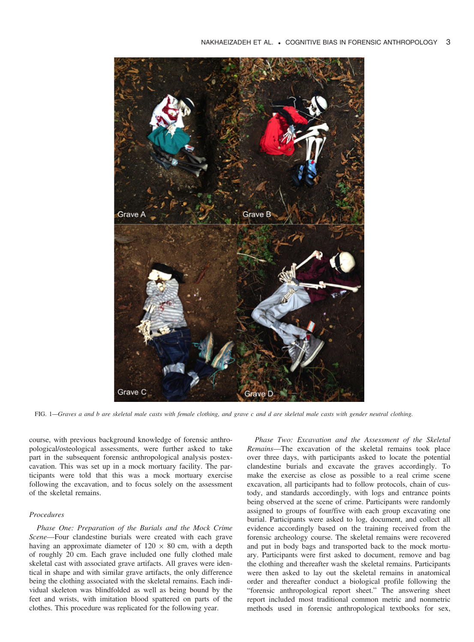

FIG. 1—Graves a and b are skeletal male casts with female clothing, and grave c and d are skeletal male casts with gender neutral clothing.

course, with previous background knowledge of forensic anthropological/osteological assessments, were further asked to take part in the subsequent forensic anthropological analysis postexcavation. This was set up in a mock mortuary facility. The participants were told that this was a mock mortuary exercise following the excavation, and to focus solely on the assessment of the skeletal remains.

#### Procedures

Phase One: Preparation of the Burials and the Mock Crime Scene—Four clandestine burials were created with each grave having an approximate diameter of  $120 \times 80$  cm, with a depth of roughly 20 cm. Each grave included one fully clothed male skeletal cast with associated grave artifacts. All graves were identical in shape and with similar grave artifacts, the only difference being the clothing associated with the skeletal remains. Each individual skeleton was blindfolded as well as being bound by the feet and wrists, with imitation blood spattered on parts of the clothes. This procedure was replicated for the following year.

Phase Two: Excavation and the Assessment of the Skeletal Remains—The excavation of the skeletal remains took place over three days, with participants asked to locate the potential clandestine burials and excavate the graves accordingly. To make the exercise as close as possible to a real crime scene excavation, all participants had to follow protocols, chain of custody, and standards accordingly, with logs and entrance points being observed at the scene of crime. Participants were randomly assigned to groups of four/five with each group excavating one burial. Participants were asked to log, document, and collect all evidence accordingly based on the training received from the forensic archeology course. The skeletal remains were recovered and put in body bags and transported back to the mock mortuary. Participants were first asked to document, remove and bag the clothing and thereafter wash the skeletal remains. Participants were then asked to lay out the skeletal remains in anatomical order and thereafter conduct a biological profile following the "forensic anthropological report sheet." The answering sheet report included most traditional common metric and nonmetric methods used in forensic anthropological textbooks for sex,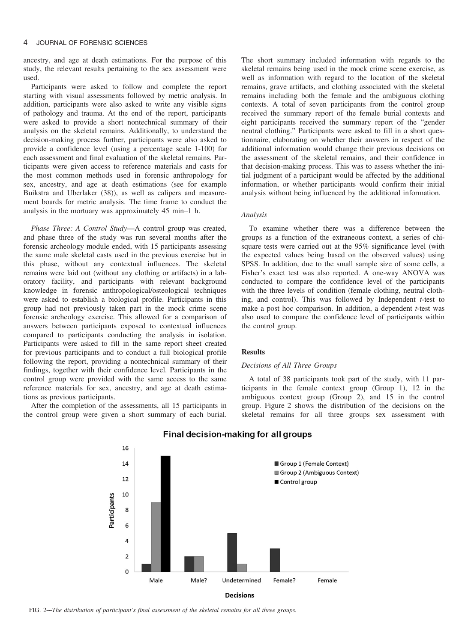ancestry, and age at death estimations. For the purpose of this study, the relevant results pertaining to the sex assessment were used.

Participants were asked to follow and complete the report starting with visual assessments followed by metric analysis. In addition, participants were also asked to write any visible signs of pathology and trauma. At the end of the report, participants were asked to provide a short nontechnical summary of their analysis on the skeletal remains. Additionally, to understand the decision-making process further, participants were also asked to provide a confidence level (using a percentage scale 1-100) for each assessment and final evaluation of the skeletal remains. Participants were given access to reference materials and casts for the most common methods used in forensic anthropology for sex, ancestry, and age at death estimations (see for example Buikstra and Uberlaker (38)), as well as calipers and measurement boards for metric analysis. The time frame to conduct the analysis in the mortuary was approximately 45 min–1 h.

Phase Three: A Control Study-A control group was created, and phase three of the study was run several months after the forensic archeology module ended, with 15 participants assessing the same male skeletal casts used in the previous exercise but in this phase, without any contextual influences. The skeletal remains were laid out (without any clothing or artifacts) in a laboratory facility, and participants with relevant background knowledge in forensic anthropological/osteological techniques were asked to establish a biological profile. Participants in this group had not previously taken part in the mock crime scene forensic archeology exercise. This allowed for a comparison of answers between participants exposed to contextual influences compared to participants conducting the analysis in isolation. Participants were asked to fill in the same report sheet created for previous participants and to conduct a full biological profile following the report, providing a nontechnical summary of their findings, together with their confidence level. Participants in the control group were provided with the same access to the same reference materials for sex, ancestry, and age at death estimations as previous participants.

After the completion of the assessments, all 15 participants in the control group were given a short summary of each burial. The short summary included information with regards to the skeletal remains being used in the mock crime scene exercise, as well as information with regard to the location of the skeletal remains, grave artifacts, and clothing associated with the skeletal remains including both the female and the ambiguous clothing contexts. A total of seven participants from the control group received the summary report of the female burial contexts and eight participants received the summary report of the "gender neutral clothing." Participants were asked to fill in a short questionnaire, elaborating on whether their answers in respect of the additional information would change their previous decisions on the assessment of the skeletal remains, and their confidence in that decision-making process. This was to assess whether the initial judgment of a participant would be affected by the additional information, or whether participants would confirm their initial analysis without being influenced by the additional information.

#### Analysis

To examine whether there was a difference between the groups as a function of the extraneous context, a series of chisquare tests were carried out at the 95% significance level (with the expected values being based on the observed values) using SPSS. In addition, due to the small sample size of some cells, a Fisher's exact test was also reported. A one-way ANOVA was conducted to compare the confidence level of the participants with the three levels of condition (female clothing, neutral clothing, and control). This was followed by Independent  $t$ -test to make a post hoc comparison. In addition, a dependent  $t$ -test was also used to compare the confidence level of participants within the control group.

#### **Results**

#### Decisions of All Three Groups

A total of 38 participants took part of the study, with 11 participants in the female context group (Group 1), 12 in the ambiguous context group (Group 2), and  $15$  in the control group. Figure 2 shows the distribution of the decisions on the skeletal remains for all three groups sex assessment with



## Final decision-making for all groups

FIG. 2––The distribution of participant's final assessment of the skeletal remains for all three groups.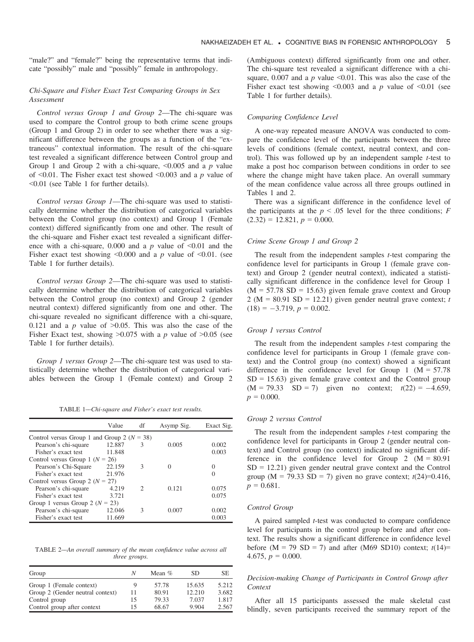"male?" and "female?" being the representative terms that indicate "possibly" male and "possibly" female in anthropology.

# Chi-Square and Fisher Exact Test Comparing Groups in Sex Assessment

Control versus Group 1 and Group 2—The chi-square was used to compare the Control group to both crime scene groups (Group 1 and Group 2) in order to see whether there was a significant difference between the groups as a function of the "extraneous" contextual information. The result of the chi-square test revealed a significant difference between Control group and Group 1 and Group 2 with a chi-square,  $\leq 0.005$  and a p value of  $\leq 0.01$ . The Fisher exact test showed  $\leq 0.003$  and a p value of <0.01 (see Table 1 for further details).

Control versus Group 1—The chi-square was used to statistically determine whether the distribution of categorical variables between the Control group (no context) and Group 1 (Female context) differed significantly from one and other. The result of the chi-square and Fisher exact test revealed a significant difference with a chi-square, 0.000 and a  $p$  value of <0.01 and the Fisher exact test showing  $\leq 0.000$  and a p value of  $\leq 0.01$ . (see Table 1 for further details).

Control versus Group 2—The chi-square was used to statistically determine whether the distribution of categorical variables between the Control group (no context) and Group 2 (gender neutral context) differed significantly from one and other. The chi-square revealed no significant difference with a chi-square, 0.121 and a p value of  $\geq$  0.05. This was also the case of the Fisher Exact test, showing  $>0.075$  with a p value of  $>0.05$  (see Table 1 for further details).

Group 1 versus Group 2—The chi-square test was used to statistically determine whether the distribution of categorical variables between the Group 1 (Female context) and Group 2

TABLE 1-Chi-square and Fisher's exact test results.

|                                                 | Value  | df | Asymp Sig. | Exact Sig. |
|-------------------------------------------------|--------|----|------------|------------|
| Control versus Group 1 and Group 2 ( $N = 38$ ) |        |    |            |            |
| Pearson's chi-square                            | 12.887 | 3  | 0.005      | 0.002      |
| Fisher's exact test                             | 11.848 |    |            | 0.003      |
| Control versus Group 1 ( $N = 26$ )             |        |    |            |            |
| Pearson's Chi-Square                            | 22.159 | 3  |            |            |
| Fisher's exact test                             | 21.976 |    |            |            |
| Control versus Group 2 ( $N = 27$ )             |        |    |            |            |
| Pearson's chi-square                            | 4.219  | 2  | 0.121      | 0.075      |
| Fisher's exact test                             | 3.721  |    |            | 0.075      |
| Group 1 versus Group 2 ( $N = 23$ )             |        |    |            |            |
| Pearson's chi-square                            | 12.046 | 3  | 0.007      | 0.002      |
| Fisher's exact test                             | 11.669 |    |            | 0.003      |

TABLE 2––An overall summary of the mean confidence value across all three groups.

| Group                            | N  | Mean $\%$ | SD.    | SE.   |
|----------------------------------|----|-----------|--------|-------|
| Group 1 (Female context)         |    | 57.78     | 15.635 | 5.212 |
| Group 2 (Gender neutral context) | 11 | 80.91     | 12.210 | 3.682 |
| Control group                    | 15 | 79.33     | 7.037  | 1.817 |
| Control group after context      | 15 | 68.67     | 9.904  | 2.567 |

(Ambiguous context) differed significantly from one and other. The chi-square test revealed a significant difference with a chisquare,  $0.007$  and a p value <0.01. This was also the case of the Fisher exact test showing  $\leq 0.003$  and a p value of  $\leq 0.01$  (see Table 1 for further details).

#### Comparing Confidence Level

A one-way repeated measure ANOVA was conducted to compare the confidence level of the participants between the three levels of conditions (female context, neutral context, and control). This was followed up by an independent sample  $t$ -test to make a post hoc comparison between conditions in order to see where the change might have taken place. An overall summary of the mean confidence value across all three groups outlined in Tables 1 and 2.

There was a significant difference in the confidence level of the participants at the  $p < .05$  level for the three conditions; F  $(2.32) = 12.821, p = 0.000$ .

# Crime Scene Group 1 and Group 2

The result from the independent samples  $t$ -test comparing the confidence level for participants in Group 1 (female grave context) and Group 2 (gender neutral context), indicated a statistically significant difference in the confidence level for Group 1  $(M = 57.78$  SD = 15.63) given female grave context and Group 2 (M = 80.91 SD = 12.21) given gender neutral grave context; t  $(18) = -3.719$ ,  $p = 0.002$ .

#### Group 1 versus Control

The result from the independent samples  $t$ -test comparing the confidence level for participants in Group 1 (female grave context) and the Control group (no context) showed a significant difference in the confidence level for Group 1 ( $M = 57.78$ )  $SD = 15.63$ ) given female grave context and the Control group  $(M = 79.33 \text{ SD} = 7)$  given no context;  $t(22) = -4.659$ ,  $p = 0.000$ .

# Group 2 versus Control

The result from the independent samples  $t$ -test comparing the confidence level for participants in Group 2 (gender neutral context) and Control group (no context) indicated no significant difference in the confidence level for Group 2 ( $M = 80.91$ )  $SD = 12.21$ ) given gender neutral grave context and the Control group (M = 79.33 SD = 7) given no grave context;  $t(24)=0.416$ ,  $p = 0.681$ .

#### Control Group

A paired sampled t-test was conducted to compare confidence level for participants in the control group before and after context. The results show a significant difference in confidence level before (M = 79 SD = 7) and after (M69 SD10) context;  $t(14)=$ 4.675,  $p = 0.000$ .

# Decision-making Change of Participants in Control Group after Context

After all 15 participants assessed the male skeletal cast blindly, seven participants received the summary report of the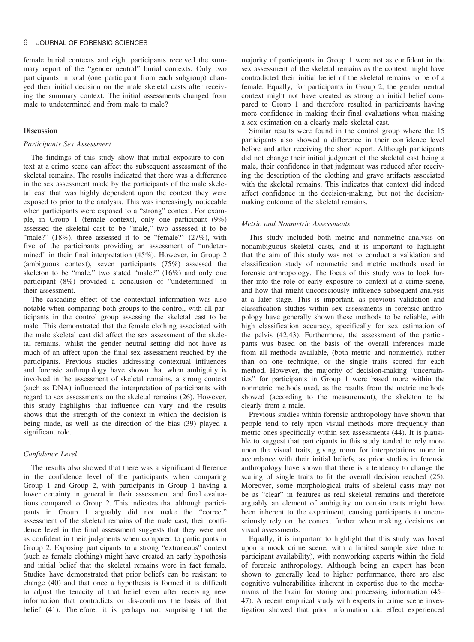female burial contexts and eight participants received the summary report of the "gender neutral" burial contexts. Only two participants in total (one participant from each subgroup) changed their initial decision on the male skeletal casts after receiving the summary context. The initial assessments changed from male to undetermined and from male to male?

#### Discussion

#### Participants Sex Assessment

The findings of this study show that initial exposure to context at a crime scene can affect the subsequent assessment of the skeletal remains. The results indicated that there was a difference in the sex assessment made by the participants of the male skeletal cast that was highly dependent upon the context they were exposed to prior to the analysis. This was increasingly noticeable when participants were exposed to a "strong" context. For example, in Group 1 (female context), only one participant (9%) assessed the skeletal cast to be "male," two assessed it to be "male?"  $(18\%)$ , three assessed it to be "female?"  $(27\%)$ , with five of the participants providing an assessment of "undetermined" in their final interpretation (45%). However, in Group 2 (ambiguous context), seven participants (75%) assessed the skeleton to be "male," two stated "male?" (16%) and only one participant (8%) provided a conclusion of "undetermined" in their assessment.

The cascading effect of the contextual information was also notable when comparing both groups to the control, with all participants in the control group assessing the skeletal cast to be male. This demonstrated that the female clothing associated with the male skeletal cast did affect the sex assessment of the skeletal remains, whilst the gender neutral setting did not have as much of an affect upon the final sex assessment reached by the participants. Previous studies addressing contextual influences and forensic anthropology have shown that when ambiguity is involved in the assessment of skeletal remains, a strong context (such as DNA) influenced the interpretation of participants with regard to sex assessments on the skeletal remains (26). However, this study highlights that influence can vary and the results shows that the strength of the context in which the decision is being made, as well as the direction of the bias (39) played a significant role.

# Confidence Level

The results also showed that there was a significant difference in the confidence level of the participants when comparing Group 1 and Group 2, with participants in Group 1 having a lower certainty in general in their assessment and final evaluations compared to Group 2. This indicates that although participants in Group 1 arguably did not make the "correct" assessment of the skeletal remains of the male cast, their confidence level in the final assessment suggests that they were not as confident in their judgments when compared to participants in Group 2. Exposing participants to a strong "extraneous" context (such as female clothing) might have created an early hypothesis and initial belief that the skeletal remains were in fact female. Studies have demonstrated that prior beliefs can be resistant to change (40) and that once a hypothesis is formed it is difficult to adjust the tenacity of that belief even after receiving new information that contradicts or dis-confirms the basis of that belief (41). Therefore, it is perhaps not surprising that the

majority of participants in Group 1 were not as confident in the sex assessment of the skeletal remains as the context might have contradicted their initial belief of the skeletal remains to be of a female. Equally, for participants in Group 2, the gender neutral context might not have created as strong an initial belief compared to Group 1 and therefore resulted in participants having more confidence in making their final evaluations when making a sex estimation on a clearly male skeletal cast.

Similar results were found in the control group where the 15 participants also showed a difference in their confidence level before and after receiving the short report. Although participants did not change their initial judgment of the skeletal cast being a male, their confidence in that judgment was reduced after receiving the description of the clothing and grave artifacts associated with the skeletal remains. This indicates that context did indeed affect confidence in the decision-making, but not the decisionmaking outcome of the skeletal remains.

# Metric and Nonmetric Assessments

This study included both metric and nonmetric analysis on nonambiguous skeletal casts, and it is important to highlight that the aim of this study was not to conduct a validation and classification study of nonmetric and metric methods used in forensic anthropology. The focus of this study was to look further into the role of early exposure to context at a crime scene, and how that might unconsciously influence subsequent analysis at a later stage. This is important, as previous validation and classification studies within sex assessments in forensic anthropology have generally shown these methods to be reliable, with high classification accuracy, specifically for sex estimation of the pelvis (42,43). Furthermore, the assessment of the participants was based on the basis of the overall inferences made from all methods available, (both metric and nonmetric), rather than on one technique, or the single traits scored for each method. However, the majority of decision-making "uncertainties" for participants in Group 1 were based more within the nonmetric methods used, as the results from the metric methods showed (according to the measurement), the skeleton to be clearly from a male.

Previous studies within forensic anthropology have shown that people tend to rely upon visual methods more frequently than metric ones specifically within sex assessments (44). It is plausible to suggest that participants in this study tended to rely more upon the visual traits, giving room for interpretations more in accordance with their initial beliefs, as prior studies in forensic anthropology have shown that there is a tendency to change the scaling of single traits to fit the overall decision reached (25). Moreover, some morphological traits of skeletal casts may not be as "clear" in features as real skeletal remains and therefore arguably an element of ambiguity on certain traits might have been inherent to the experiment, causing participants to unconsciously rely on the context further when making decisions on visual assessments.

Equally, it is important to highlight that this study was based upon a mock crime scene, with a limited sample size (due to participant availability), with nonworking experts within the field of forensic anthropology. Although being an expert has been shown to generally lead to higher performance, there are also cognitive vulnerabilities inherent in expertise due to the mechanisms of the brain for storing and processing information (45– 47). A recent empirical study with experts in crime scene investigation showed that prior information did effect experienced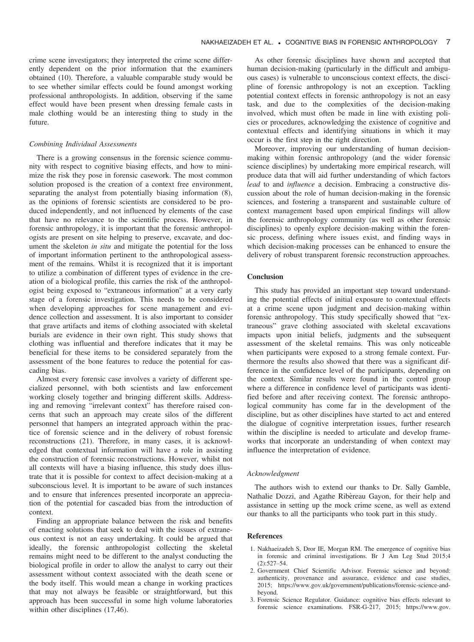crime scene investigators; they interpreted the crime scene differently dependent on the prior information that the examiners obtained (10). Therefore, a valuable comparable study would be to see whether similar effects could be found amongst working professional anthropologists. In addition, observing if the same effect would have been present when dressing female casts in male clothing would be an interesting thing to study in the future.

#### Combining Individual Assessments

There is a growing consensus in the forensic science community with respect to cognitive biasing effects, and how to minimize the risk they pose in forensic casework. The most common solution proposed is the creation of a context free environment. separating the analyst from potentially biasing information (8), as the opinions of forensic scientists are considered to be produced independently, and not influenced by elements of the case that have no relevance to the scientific process. However, in forensic anthropology, it is important that the forensic anthropologists are present on site helping to preserve, excavate, and document the skeleton *in situ* and mitigate the potential for the loss of important information pertinent to the anthropological assessment of the remains. Whilst it is recognized that it is important to utilize a combination of different types of evidence in the creation of a biological profile, this carries the risk of the anthropologist being exposed to "extraneous information" at a very early stage of a forensic investigation. This needs to be considered when developing approaches for scene management and evidence collection and assessment. It is also important to consider that grave artifacts and items of clothing associated with skeletal burials are evidence in their own right. This study shows that clothing was influential and therefore indicates that it may be beneficial for these items to be considered separately from the assessment of the bone features to reduce the potential for cascading bias.

Almost every forensic case involves a variety of different specialized personnel, with both scientists and law enforcement working closely together and bringing different skills. Addressing and removing "irrelevant context" has therefore raised concerns that such an approach may create silos of the different personnel that hampers an integrated approach within the practice of forensic science and in the delivery of robust forensic reconstructions (21). Therefore, in many cases, it is acknowledged that contextual information will have a role in assisting the construction of forensic reconstructions. However, whilst not all contexts will have a biasing influence, this study does illustrate that it is possible for context to affect decision-making at a subconscious level. It is important to be aware of such instances and to ensure that inferences presented incorporate an appreciation of the potential for cascaded bias from the introduction of context.

Finding an appropriate balance between the risk and benefits of enacting solutions that seek to deal with the issues of extraneous context is not an easy undertaking. It could be argued that ideally, the forensic anthropologist collecting the skeletal remains might need to be different to the analyst conducting the biological profile in order to allow the analyst to carry out their assessment without context associated with the death scene or the body itself. This would mean a change in working practices that may not always be feasible or straightforward, but this approach has been successful in some high volume laboratories within other disciplines (17,46).

As other forensic disciplines have shown and accepted that human decision-making (particularly in the difficult and ambiguous cases) is vulnerable to unconscious context effects, the discipline of forensic anthropology is not an exception. Tackling potential context effects in forensic anthropology is not an easy task, and due to the complexities of the decision-making involved, which must often be made in line with existing policies or procedures, acknowledging the existence of cognitive and contextual effects and identifying situations in which it may occur is the first step in the right direction.

Moreover, improving our understanding of human decisionmaking within forensic anthropology (and the wider forensic science disciplines) by undertaking more empirical research, will produce data that will aid further understanding of which factors lead to and influence a decision. Embracing a constructive discussion about the role of human decision-making in the forensic sciences, and fostering a transparent and sustainable culture of context management based upon empirical findings will allow the forensic anthropology community (as well as other forensic disciplines) to openly explore decision-making within the forensic process, defining where issues exist, and finding ways in which decision-making processes can be enhanced to ensure the delivery of robust transparent forensic reconstruction approaches.

# Conclusion

This study has provided an important step toward understanding the potential effects of initial exposure to contextual effects at a crime scene upon judgment and decision-making within forensic anthropology. This study specifically showed that "extraneous" grave clothing associated with skeletal excavations impacts upon initial beliefs, judgments and the subsequent assessment of the skeletal remains. This was only noticeable when participants were exposed to a strong female context. Furthermore the results also showed that there was a significant difference in the confidence level of the participants, depending on the context. Similar results were found in the control group where a difference in confidence level of participants was identified before and after receiving context. The forensic anthropological community has come far in the development of the discipline, but as other disciplines have started to act and entered the dialogue of cognitive interpretation issues, further research within the discipline is needed to articulate and develop frameworks that incorporate an understanding of when context may influence the interpretation of evidence.

# Acknowledgment

The authors wish to extend our thanks to Dr. Sally Gamble, Nathalie Dozzi, and Agathe Ribèreau Gayon, for their help and assistance in setting up the mock crime scene, as well as extend our thanks to all the participants who took part in this study.

#### References

- 1. Nakhaeizadeh S, Dror IE, Morgan RM. The emergence of cognitive bias in forensic and criminal investigations. Br J Am Leg Stud 2015;4  $(2)$ :527–54.
- 2. Government Chief Scientific Advisor. Forensic science and beyond: authenticity, provenance and assurance, evidence and case studies, 2015; [https://www.gov.uk/government/publications/forensic-science-and](https://www.gov.uk/government/publications/forensic-science-and-beyond)[beyond](https://www.gov.uk/government/publications/forensic-science-and-beyond).
- 3. Forensic Science Regulator. Guidance: cognitive bias effects relevant to forensic science examinations. FSR-G-217, 2015; [https://www.gov.](https://www.gov.uk/government/uploads/system/uploads/attachment_data/file/510147/217_FSR-G-217_Cognitive_bias_appendix.pdf)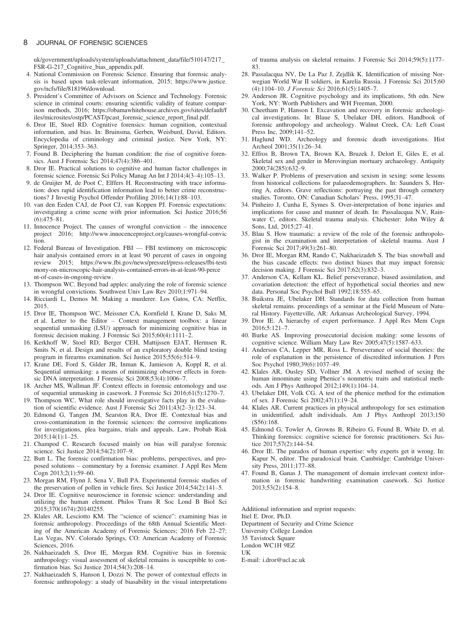#### 8 JOURNAL OF FORENSIC SCIENCES

[uk/government/uploads/system/uploads/attachment\\_data/file/510147/217\\_](https://www.gov.uk/government/uploads/system/uploads/attachment_data/file/510147/217_FSR-G-217_Cognitive_bias_appendix.pdf) [FSR-G-217\\_Cognitive\\_bias\\_appendix.pdf.](https://www.gov.uk/government/uploads/system/uploads/attachment_data/file/510147/217_FSR-G-217_Cognitive_bias_appendix.pdf)

- 4. National Commission on Forensic Science. Ensuring that forensic analysis is based upon task-relevant information, 2015; [https://www.justice.](https://www.justice) gov/ncfs/file/818196/download.
- 5. President's Committee of Advisors on Science and Technology. Forensic science in criminal courts: ensuring scientific validity of feature comparison methods, 2016; [https://obamawhitehouse.archives.gov/sites/default/f](https://obamawhitehouse.archives.gov/sites/default/files/microsites/ostp/PCAST/pcast_forensic_science_report_final.pdf) [iles/microsites/ostp/PCAST/pcast\\_forensic\\_science\\_report\\_final.pdf](https://obamawhitehouse.archives.gov/sites/default/files/microsites/ostp/PCAST/pcast_forensic_science_report_final.pdf).
- 6. Dror IE, Stoel RD. Cognitive forensics: human cognition, contextual information, and bias. In: Bruinsma, Gerben, Weisburd, David, Editors. Encyclopedia of criminology and criminal justice. New York, NY: Springer, 2014;353–363.
- 7. Found B. Deciphering the human condition: the rise of cognitive forensics. Aust J Forensic Sci 2014;47(4):386–401.
- 8. Dror IE. Practical solutions to cognitive and human factor challenges in forensic science. Forensic Sci Policy Manag An Int J 2014;4(3–4):105–13.
- 9. de Gruijter M, de Poot C, Elffers H. Reconstructing with trace information: does rapid identification information lead to better crime reconstructions? J Investig Psychol Offender Profiling 2016;14(1):88–103.
- 10. van den Eeden CAJ, de Poot CJ, van Koppen PJ. Forensic expectations: investigating a crime scene with prior information. Sci Justice 2016;56 (6):475–81.
- 11. Innocence Project. The causes of wrongful conviction the innocence project 2016; [http://www.innocenceproject.org/causes-wrongful-convic](http://www.innocenceproject.org/causes-wrongful-conviction) [tion](http://www.innocenceproject.org/causes-wrongful-conviction).
- 12. Federal Bureau of Investigation. FBI FBI testimony on microscopic hair analysis contained errors in at least 90 percent of cases in ongoing review 2015; [https://www.fbi.gov/news/pressrel/press-releases/fbi-testi](https://www.fbi.gov/news/pressrel/press-releases/fbi-testimony-on-microscopic-hair-analysis-contained-errors-in-at-least-90-percent-of-cases-in-ongoing-review) [mony-on-microscopic-hair-analysis-contained-errors-in-at-least-90-perce](https://www.fbi.gov/news/pressrel/press-releases/fbi-testimony-on-microscopic-hair-analysis-contained-errors-in-at-least-90-percent-of-cases-in-ongoing-review) [nt-of-cases-in-ongoing-review.](https://www.fbi.gov/news/pressrel/press-releases/fbi-testimony-on-microscopic-hair-analysis-contained-errors-in-at-least-90-percent-of-cases-in-ongoing-review)
- 13. Thompson WC. Beyond bad apples: analyzing the role of forensic science in wrongful convictions. Southwest Univ Law Rev 2010;1:971–94.
- 14. Ricciardi L, Demos M. Making a murderer. Los Gatos, CA: Netflix, 2015.
- 15. Dror IE, Thompson WC, Meissner CA, Kornfield I, Krane D, Saks M, et al. Letter to the Editor – Context management toolbox: a linear sequential unmasking (LSU) approach for minimizing cognitive bias in forensic decision making. J Forensic Sci 2015;60(4):1111–2.
- 16. Kerkhoff W, Stoel RD, Berger CEH, Mattijssen EJAT, Hermsen R, Smits N, et al. Design and results of an exploratory double blind testing program in firearms examination. Sci Justice 2015;55(6):514–9.
- 17. Krane DE, Ford S, Gilder JR, Inman K, Jamieson A, Koppl R, et al. Sequential unmasking: a means of minimizing observer effects in forensic DNA interpretation. J Forensic Sci 2008;53(4):1006–7.
- 18. Archer MS, Wallman JF. Context effects in forensic entomology and use of sequential unmasking in casework. J Forensic Sci 2016;61(5):1270–7.
- 19. Thompson WC. What role should investigative facts play in the evaluation of scientific evidence. Aust J Forensic Sci 2011;43(2–3):123–34.
- 20. Edmond G, Tangen JM, Searston RA, Dror IE. Contextual bias and cross-contamination in the forensic sciences: the corrosive implications for investigations, plea bargains, trials and appeals. Law, Probab Risk 2015;14(1):1–25.
- 21. Champod C. Research focused mainly on bias will paralyse forensic science. Sci Justice 2014;54(2):107–9.
- 22. Butt L. The forensic confirmation bias: problems, perspectives, and proposed solutions – commentary by a forensic examiner. J Appl Res Mem Cogn 2013;2(1):59–60.
- 23. Morgan RM, Flynn J, Sena V, Bull PA. Experimental forensic studies of the preservation of pollen in vehicle fires. Sci Justice 2014;54(2):141–5.
- 24. Dror IE. Cognitive neuroscience in forensic science: understanding and utilizing the human element. Philos Trans R Soc Lond B Biol Sci 2015;370(1674):20140255.
- 25. Klales AR, Lesciotto KM. The "science of science": examining bias in forensic anthropology. Proceedings of the 68th Annual Scientific Meeting of the American Academy of Forensic Sciences; 2016 Feb 22–27; Las Vegas, NV. Colorado Springs, CO: American Academy of Forensic Sciences, 2016.
- 26. Nakhaeizadeh S, Dror IE, Morgan RM. Cognitive bias in forensic anthropology: visual assessment of skeletal remains is susceptible to confirmation bias. Sci Justice 2014;54(3):208–14.
- 27. Nakhaeizadeh S, Hanson I, Dozzi N. The power of contextual effects in forensic anthropology: a study of biasability in the visual interpretations

of trauma analysis on skeletal remains. J Forensic Sci 2014;59(5):1177– 83.

- 28. Passalacqua NV, De La Paz J, Zejdlik K. Identification of missing Norwegian World War II soldiers, in Karelia Russia. J Forensic Sci 2015;60 (4):1104–10. J Forensic Sci 2016;61(5):1405–7.
- 29. Anderson JR. Cognitive psychology and its implications, 5th edn. New York, NY: Worth Publishers and WH Freeman, 2000.
- 30. Cheetham P, Hanson I. Excavation and recovery in forensic archeological investigations. In: Blaue S, Ubelaker DH, editors. Handbook of forensic anthropology and archeology. Walnut Creek, CA: Left Coast Press Inc, 2009;141–52.
- 31. Haglund WD. Archeology and forensic death investigations. Hist Archeol 2001;35(1):26–34.
- 32. Effros B, Brown TA, Brown KA, Bruzek J, Delort E, Giles E, et al. Skeletal sex and gender in Merovingian mortuary archaeology. Antiquity 2000;74(285):632–9.
- 33. Walker P. Problems of preservation and sexism in sexing: some lessons from historical collections for palaeodemographers. In: Saunders S, Herring A, editors. Grave reflections: portraying the past through cemetery studies. Toronto, ON: Canadian Scholars' Press, 1995;31–47.
- 34. Pinheiro J, Cunha E, Symes S. Over-interpretation of bone injuries and implications for cause and manner of death. In: Passalacqua N.V, Rainwater C, editors. Skeletal trauma analysis. Chichester: John Wiley & Sons, Ltd, 2015;27–41.
- 35. Blau S. How traumatic: a review of the role of the forensic anthropologist in the examination and interpretation of skeletal trauma. Aust J Forensic Sci 2017;49(3):261–80.
- 36. Dror IE, Morgan RM, Rando C, Nakhaeizadeh S. The bias snowball and the bias cascade effects: two distinct biases that may impact forensic decision making. J Forensic Sci 2017;62(3):832–3.
- 37. Anderson CA, Kellam KL. Belief perseverance, biased assimilation, and covariation detection: the effect of hypothetical social theories and new data. Personal Soc Psychol Bull 1992;18:555-65.
- 38. Buikstra JE, Ubelaker DH. Standards for data collection from human skeletal remains. proceedings of a seminar at the Field Museum of Natural History. Fayetteville, AR: Arkansas Archeological Survey, 1994.
- 39. Dror IE. A hierarchy of expert performance. J Appl Res Mem Cogn 2016;5:121–7.
- 40. Burke AS. Improving prosecutorial decision making: some lessons of cognitive science. William Mary Law Rev 2005;47(5):1587–633.
- 41. Anderson CA, Lepper MR, Ross L. Perseverance of social theories: the role of explanation in the persistence of discredited information. J Pers Soc Psychol 1980;39(6):1037–49.
- 42. Klales AR, Ousley SD, Vollner JM. A revised method of sexing the human innominate using Phenice's nonmetric traits and statistical methods. Am J Phys Anthropol 2012;149(1):104–14.
- 43. Ubelaker DH, Volk CG. A test of the phenice method for the estimation of sex. J Forensic Sci 2002;47(1):19–24.
- 44. Klales AR. Current practices in physical anthropology for sex estimation in unidentified, adult individuals. Am J Phys Anthropl 2013;150 (S56):168.
- 45. Edmond G, Towler A, Growns B, Ribeiro G, Found B, White D, et al. Thinking forensics: cognitive science for forensic practitioners. Sci Justice 2017;57(2):144–54.
- 46. Dror IE. The paradox of human expertise: why experts get it wrong. In: Kapur N, editor. The paradoxical brain. Cambridge: Cambridge University Press, 2011;177–88.
- 47. Found B, Ganas J. The management of domain irrelevant context information in forensic handwriting examination casework. Sci Justice 2013;53(2):154–8.

Additional information and reprint requests: Itiel E. Dror, Ph.D. Department of Security and Crime Science University College London 35 Tavistock Square London WC1H 9EZ UK E-mail: i.dror@ucl.ac.uk